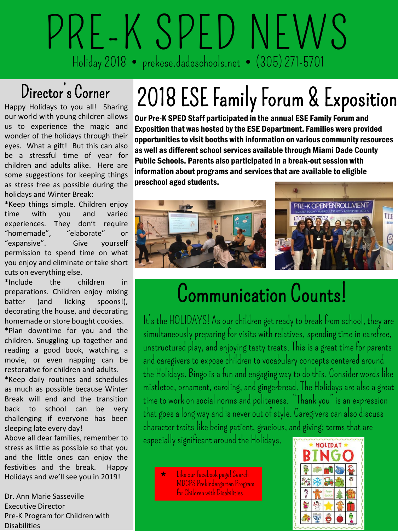# PRE-K SPED NEWS Holiday 2018 • prekese.dadeschools.net • (305) 271-5701

#### Director's Corner

Happy Holidays to you all! Sharing our world with young children allows us to experience the magic and wonder of the holidays through their eyes. What a gift! But this can also be a stressful time of year for children and adults alike. Here are some suggestions for keeping things as stress free as possible during the holidays and Winter Break:

\*Keep things simple. Children enjoy time with you and varied experiences. They don't require "homemade", "elaborate" or "expansive". Give yourself permission to spend time on what you enjoy and eliminate or take short cuts on everything else.

\*Include the children in preparations. Children enjoy mixing batter (and licking spoons!), decorating the house, and decorating homemade or store bought cookies.

\*Plan downtime for you and the children. Snuggling up together and reading a good book, watching a movie, or even napping can be restorative for children and adults.

\*Keep daily routines and schedules as much as possible because Winter Break will end and the transition back to school can be very challenging if everyone has been sleeping late every day!

Above all dear families, remember to stress as little as possible so that you and the little ones can enjoy the festivities and the break. Happy Holidays and we'll see you in 2019!

Dr. Ann Marie Sasseville Executive Director Pre-K Program for Children with Disabilities

## 2018 ESE Family Forum & Exposition

Our Pre-K SPED Staff participated in the annual ESE Family Forum and Exposition that was hosted by the ESE Department. Families were provided opportunities to visit booths with information on various community resources as well as different school services available through Miami Dade County Public Schools. Parents also participated in a break-out session with information about programs and services that are available to eligible preschool aged students.





## Communication Counts!

It's the HOLIDAYS! As our children get ready to break from school, they are simultaneously preparing for visits with relatives, spending time in carefree, unstructured play, and enjoying tasty treats. This is a great time for parents and caregivers to expose children to vocabulary concepts centered around the Holidays. Bingo is a fun and engaging way to do this. Consider words like mistletoe, ornament, caroling, and gingerbread. The Holidays are also a great time to work on social norms and politeness. "Thank you" is an expression that goes a long way and is never out of style. Caregivers can also discuss character traits like being patient, gracious, and giving; terms that are especially significant around the Holidays.

 Like our Facebook page! Search MDCPS Prekindergarten Program for Children with Disabilities